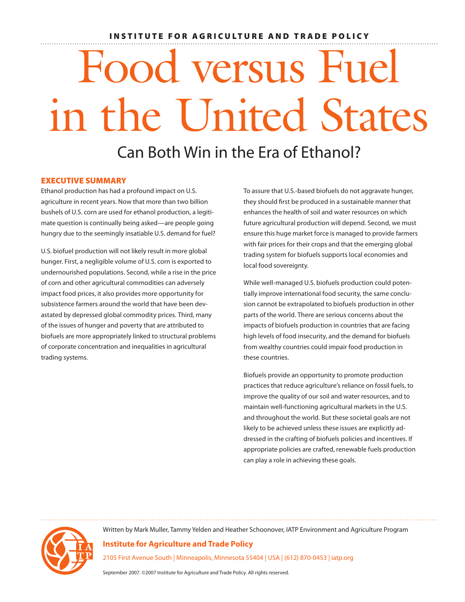# INSTITUTE FOR AGRICULTURE AND TRADE POLICY

# Food versus Fuel in the United States

# Can Both Win in the Era of Ethanol?

#### Executive Summary

Ethanol production has had a profound impact on U.S. agriculture in recent years. Now that more than two billion bushels of U.S. corn are used for ethanol production, a legitimate question is continually being asked—are people going hungry due to the seemingly insatiable U.S. demand for fuel?

U.S. biofuel production will not likely result in more global hunger. First, a negligible volume of U.S. corn is exported to undernourished populations. Second, while a rise in the price of corn and other agricultural commodities can adversely impact food prices, it also provides more opportunity for subsistence farmers around the world that have been devastated by depressed global commodity prices. Third, many of the issues of hunger and poverty that are attributed to biofuels are more appropriately linked to structural problems of corporate concentration and inequalities in agricultural trading systems.

To assure that U.S.-based biofuels do not aggravate hunger, they should first be produced in a sustainable manner that enhances the health of soil and water resources on which future agricultural production will depend. Second, we must ensure this huge market force is managed to provide farmers with fair prices for their crops and that the emerging global trading system for biofuels supports local economies and local food sovereignty.

While well-managed U.S. biofuels production could potentially improve international food security, the same conclusion cannot be extrapolated to biofuels production in other parts of the world. There are serious concerns about the impacts of biofuels production in countries that are facing high levels of food insecurity, and the demand for biofuels from wealthy countries could impair food production in these countries.

Biofuels provide an opportunity to promote production practices that reduce agriculture's reliance on fossil fuels, to improve the quality of our soil and water resources, and to maintain well-functioning agricultural markets in the U.S. and throughout the world. But these societal goals are not likely to be achieved unless these issues are explicitly addressed in the crafting of biofuels policies and incentives. If appropriate policies are crafted, renewable fuels production can play a role in achieving these goals.

Written by Mark Muller, Tammy Yelden and Heather Schoonover, IATP Environment and Agriculture Program

# **Institute for Agriculture and Trade Policy**

2105 First Avenue South | Minneapolis, Minnesota 55404 | USA | (612) 870-0453 | iatp.org

September 2007. ©2007 Institute for Agriculture and Trade Policy. All rights reserved.

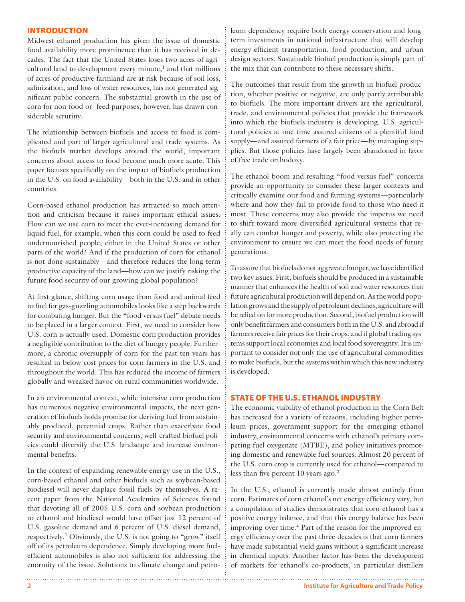#### **INTRODUCTION**

Midwest ethanol production has given the issue of domestic food availability more prominence than it has received in decades. The fact that the United States loses two acres of agricultural land to development every minute, $<sup>1</sup>$  and that millions</sup> of acres of productive farmland are at risk because of soil loss, salinization, and loss of water resources, has not generated significant public concern. The substantial growth in the use of corn for non-food or -feed purposes, however, has drawn considerable scrutiny.

The relationship between biofuels and access to food is complicated and part of larger agricultural and trade systems. As the biofuels market develops around the world, important concerns about access to food become much more acute. This paper focuses specifically on the impact of biofuels production in the U.S. on food availability—both in the U.S. and in other countries.

Corn-based ethanol production has attracted so much attention and criticism because it raises important ethical issues. How can we use corn to meet the ever-increasing demand for liquid fuel, for example, when this corn could be used to feed undernourished people, either in the United States or other parts of the world? And if the production of corn for ethanol is not done sustainably—and therefore reduces the long-term productive capacity of the land—how can we justify risking the future food security of our growing global population?

At first glance, shifting corn usage from food and animal feed to fuel for gas-guzzling automobiles looks like a step backwards for combating hunger. But the "food versus fuel" debate needs to be placed in a larger context. First, we need to consider how U.S. corn is actually used. Domestic corn production provides a negligible contribution to the diet of hungry people. Furthermore, a chronic oversupply of corn for the past ten years has resulted in below-cost prices for corn farmers in the U.S. and throughout the world. This has reduced the income of farmers globally and wreaked havoc on rural communities worldwide.

In an environmental context, while intensive corn production has numerous negative environmental impacts, the next generation of biofuels holds promise for deriving fuel from sustainably produced, perennial crops. Rather than exacerbate food security and environmental concerns, well-crafted biofuel policies could diversify the U.S. landscape and increase environmental benefits.

In the context of expanding renewable energy use in the U.S., corn-based ethanol and other biofuels such as soybean-based biodiesel will never displace fossil fuels by themselves. A recent paper from the National Academies of Sciences found that devoting all of 2005 U.S. corn and soybean production to ethanol and biodiesel would have offset just 12 percent of U.S. gasoline demand and 6 percent of U.S. diesel demand, respectively.<sup>2</sup> Obviously, the U.S. is not going to "grow" itself off of its petroleum dependence. Simply developing more fuelefficient automobiles is also not sufficient for addressing the enormity of the issue. Solutions to climate change and petro-

leum dependency require both energy conservation and longterm investments in national infrastructure that will develop energy-efficient transportation, food production, and urban design sectors. Sustainable biofuel production is simply part of the mix that can contribute to these necessary shifts.

The outcomes that result from the growth in biofuel production, whether positive or negative, are only partly attributable to biofuels. The more important drivers are the agricultural, trade, and environmental policies that provide the framework into which the biofuels industry is developing. U.S. agricultural policies at one time assured citizens of a plentiful food supply—and assured farmers of a fair price—by managing supplies. But those policies have largely been abandoned in favor of free trade orthodoxy.

The ethanol boom and resulting "food versus fuel" concerns provide an opportunity to consider these larger contexts and critically examine our food and farming systems—particularly where and how they fail to provide food to those who need it most. These concerns may also provide the impetus we need to shift toward more diversified agricultural systems that really can combat hunger and poverty, while also protecting the environment to ensure we can meet the food needs of future generations.

To assure that biofuels do not aggravate hunger, we have identified two key issues. First, biofuels should be produced in a sustainable manner that enhances the health of soil and water resources that future agricultural production will depend on. As the world population grows and the supply of petroleum declines, agriculture will be relied on for more production. Second, biofuel production will only benefit farmers and consumers both in the U.S. and abroad if farmers receive fair prices for their crops, and if global trading systems support local economies and local food sovereignty. It is important to consider not only the use of agricultural commodities to make biofuels, but the systems within which this new industry is developed.

# STATE OF THE U.S. ETHANOL INDUSTRY

The economic viability of ethanol production in the Corn Belt has increased for a variety of reasons, including higher petroleum prices, government support for the emerging ethanol industry, environmental concerns with ethanol's primary competing fuel oxygenate (MTBE), and policy initiatives promoting domestic and renewable fuel sources. Almost 20 percent of the U.S. corn crop is currently used for ethanol—compared to less than five percent 10 years ago. $3$ 

In the U.S., ethanol is currently made almost entirely from corn. Estimates of corn ethanol's net energy efficiency vary, but a compilation of studies demonstrates that corn ethanol has a positive energy balance, and that this energy balance has been improving over time.<sup>4</sup> Part of the reason for the improved energy efficiency over the past three decades is that corn farmers have made substantial yield gains without a significant increase in chemical inputs. Another factor has been the development of markets for ethanol's co-products, in particular distillers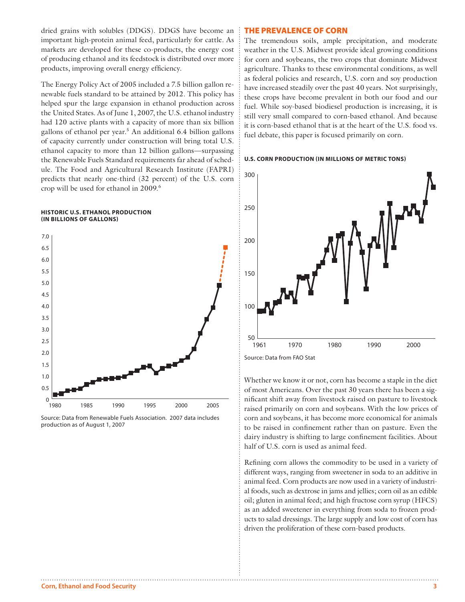dried grains with solubles (DDGS). DDGS have become an important high-protein animal feed, particularly for cattle. As markets are developed for these co-products, the energy cost of producing ethanol and its feedstock is distributed over more products, improving overall energy efficiency.

The Energy Policy Act of 2005 included a 7.5 billion gallon renewable fuels standard to be attained by 2012. This policy has helped spur the large expansion in ethanol production across the United States. As of June 1, 2007, the U.S. ethanol industry had 120 active plants with a capacity of more than six billion gallons of ethanol per year.<sup>5</sup> An additional 6.4 billion gallons of capacity currently under construction will bring total U.S. ethanol capacity to more than 12 billion gallons—surpassing the Renewable Fuels Standard requirements far ahead of schedule. The Food and Agricultural Research Institute (FAPRI) predicts that nearly one-third (32 percent) of the U.S. corn crop will be used for ethanol in 2009.6

#### **Historic U.S. Ethanol Production (In billions of gallons)**



Source: Data from Renewable Fuels Association. 2007 data includes production as of August 1, 2007

#### The Prevalence of Corn

The tremendous soils, ample precipitation, and moderate weather in the U.S. Midwest provide ideal growing conditions for corn and soybeans, the two crops that dominate Midwest agriculture. Thanks to these environmental conditions, as well as federal policies and research, U.S. corn and soy production have increased steadily over the past 40 years. Not surprisingly, these crops have become prevalent in both our food and our fuel. While soy-based biodiesel production is increasing, it is still very small compared to corn-based ethanol. And because it is corn-based ethanol that is at the heart of the U.S. food vs. fuel debate, this paper is focused primarily on corn.





Whether we know it or not, corn has become a staple in the diet of most Americans. Over the past 30 years there has been a significant shift away from livestock raised on pasture to livestock raised primarily on corn and soybeans. With the low prices of corn and soybeans, it has become more economical for animals to be raised in confinement rather than on pasture. Even the dairy industry is shifting to large confinement facilities. About half of U.S. corn is used as animal feed.

Refining corn allows the commodity to be used in a variety of different ways, ranging from sweetener in soda to an additive in animal feed. Corn products are now used in a variety of industrial foods, such as dextrose in jams and jellies; corn oil as an edible oil; gluten in animal feed; and high fructose corn syrup (HFCS) as an added sweetener in everything from soda to frozen products to salad dressings. The large supply and low cost of corn has driven the proliferation of these corn-based products.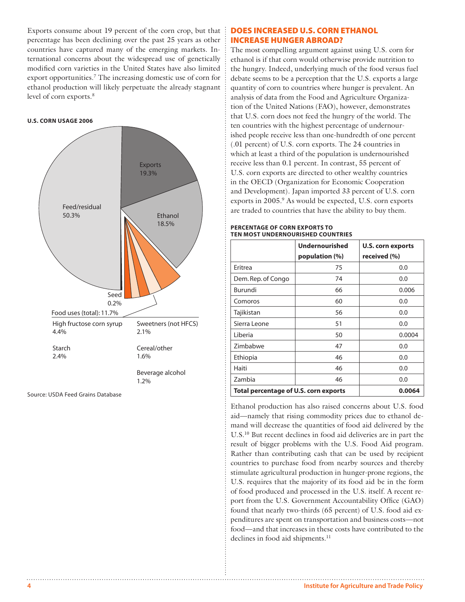Exports consume about 19 percent of the corn crop, but that percentage has been declining over the past 25 years as other countries have captured many of the emerging markets. International concerns about the widespread use of genetically modified corn varieties in the United States have also limited export opportunities.<sup>7</sup> The increasing domestic use of corn for ethanol production will likely perpetuate the already stagnant level of corn exports.<sup>8</sup>

#### **U.S. Corn Usage 2006**



Source: USDA Feed Grains Database

#### Does Increased U.S. Corn Ethanol Increase Hunger Abroad?

The most compelling argument against using U.S. corn for ethanol is if that corn would otherwise provide nutrition to the hungry. Indeed, underlying much of the food versus fuel debate seems to be a perception that the U.S. exports a large quantity of corn to countries where hunger is prevalent. An analysis of data from the Food and Agriculture Organization of the United Nations (FAO), however, demonstrates that U.S. corn does not feed the hungry of the world. The ten countries with the highest percentage of undernourished people receive less than one-hundredth of one percent (.01 percent) of U.S. corn exports. The 24 countries in which at least a third of the population is undernourished receive less than 0.1 percent. In contrast, 55 percent of U.S. corn exports are directed to other wealthy countries in the OECD (Organization for Economic Cooperation and Development). Japan imported 33 percent of U.S. corn exports in 2005.<sup>9</sup> As would be expected, U.S. corn exports are traded to countries that have the ability to buy them.

#### **PERCENTAGE OF Corn Exports to Ten Most Undernourished Countries**

|                                       | <b>Undernourished</b> | U.S. corn exports |
|---------------------------------------|-----------------------|-------------------|
|                                       | population (%)        | received (%)      |
| Eritrea                               | 75                    | 0.0               |
| Dem. Rep. of Congo                    | 74                    | 0.0               |
| Burundi                               | 66                    | 0.006             |
| Comoros                               | 60                    | 0.0               |
| Tajikistan                            | 56                    | 0.0               |
| Sierra Leone                          | 51                    | 0.0               |
| Liberia                               | 50                    | 0.0004            |
| Zimbabwe                              | 47                    | 0.0               |
| Ethiopia                              | 46                    | 0.0               |
| Haiti                                 | 46                    | 0.0               |
| Zambia                                | 46                    | 0.0               |
| Total percentage of U.S. corn exports |                       | 0.0064            |

Ethanol production has also raised concerns about U.S. food aid—namely that rising commodity prices due to ethanol demand will decrease the quantities of food aid delivered by the U.S.10 But recent declines in food aid deliveries are in part the result of bigger problems with the U.S. Food Aid program. Rather than contributing cash that can be used by recipient countries to purchase food from nearby sources and thereby stimulate agricultural production in hunger-prone regions, the U.S. requires that the majority of its food aid be in the form of food produced and processed in the U.S. itself. A recent report from the U.S. Government Accountability Office (GAO) found that nearly two-thirds (65 percent) of U.S. food aid expenditures are spent on transportation and business costs—not food—and that increases in these costs have contributed to the declines in food aid shipments.<sup>11</sup>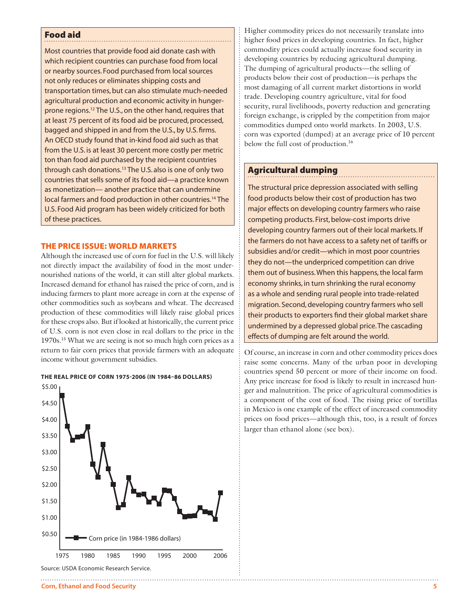#### Food aid

Most countries that provide food aid donate cash with which recipient countries can purchase food from local or nearby sources. Food purchased from local sources not only reduces or eliminates shipping costs and transportation times, but can also stimulate much-needed agricultural production and economic activity in hungerprone regions.12 The U.S., on the other hand, requires that at least 75 percent of its food aid be procured, processed, bagged and shipped in and from the U.S., by U.S. firms. An OECD study found that in-kind food aid such as that from the U.S. is at least 30 percent more costly per metric ton than food aid purchased by the recipient countries through cash donations.13 The U.S. also is one of only two countries that sells some of its food aid—a practice known as monetization— another practice that can undermine local farmers and food production in other countries.14 The U.S. Food Aid program has been widely criticized for both of these practices.

### The Price Issue: World Markets

Although the increased use of corn for fuel in the U.S. will likely not directly impact the availability of food in the most undernourished nations of the world, it can still alter global markets. Increased demand for ethanol has raised the price of corn, and is inducing farmers to plant more acreage in corn at the expense of other commodities such as soybeans and wheat. The decreased production of these commodities will likely raise global prices for these crops also. But if looked at historically, the current price of U.S. corn is not even close in real dollars to the price in the 1970s.15 What we are seeing is not so much high corn prices as a return to fair corn prices that provide farmers with an adequate income without government subsidies.

#### **The Real Price of Corn 1975-2006 (In 1984–86 dollars)**



Higher commodity prices do not necessarily translate into higher food prices in developing countries. In fact, higher commodity prices could actually increase food security in developing countries by reducing agricultural dumping. The dumping of agricultural products—the selling of products below their cost of production—is perhaps the most damaging of all current market distortions in world trade. Developing country agriculture, vital for food security, rural livelihoods, poverty reduction and generating foreign exchange, is crippled by the competition from major commodities dumped onto world markets. In 2003, U.S. corn was exported (dumped) at an average price of 10 percent below the full cost of production.<sup>16</sup>

# Agricultural dumping

The structural price depression associated with selling food products below their cost of production has two major effects on developing country farmers who raise competing products. First, below-cost imports drive developing country farmers out of their local markets. If the farmers do not have access to a safety net of tariffs or subsidies and/or credit—which in most poor countries they do not—the underpriced competition can drive them out of business. When this happens, the local farm economy shrinks, in turn shrinking the rural economy as a whole and sending rural people into trade-related migration. Second, developing country farmers who sell their products to exporters find their global market share undermined by a depressed global price. The cascading effects of dumping are felt around the world.

Of course, an increase in corn and other commodity prices does raise some concerns. Many of the urban poor in developing countries spend 50 percent or more of their income on food. Any price increase for food is likely to result in increased hunger and malnutrition. The price of agricultural commodities is a component of the cost of food. The rising price of tortillas in Mexico is one example of the effect of increased commodity prices on food prices—although this, too, is a result of forces larger than ethanol alone (see box).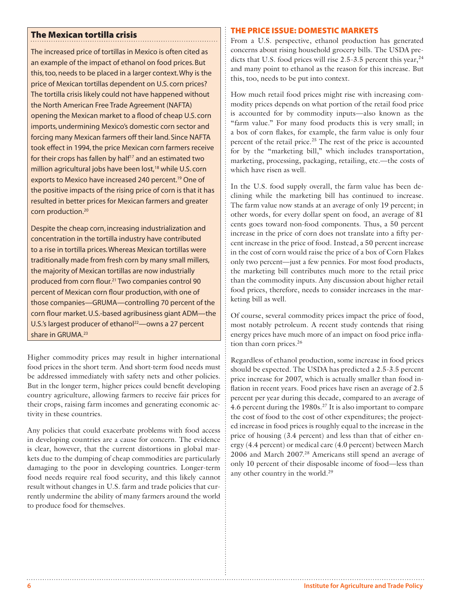# The Mexican tortilla crisis

The increased price of tortillas in Mexico is often cited as an example of the impact of ethanol on food prices. But this, too, needs to be placed in a larger context. Why is the price of Mexican tortillas dependent on U.S. corn prices? The tortilla crisis likely could not have happened without the North American Free Trade Agreement (NAFTA) opening the Mexican market to a flood of cheap U.S. corn imports, undermining Mexico's domestic corn sector and forcing many Mexican farmers off their land. Since NAFTA took effect in 1994, the price Mexican corn farmers receive for their crops has fallen by half<sup>17</sup> and an estimated two million agricultural jobs have been lost,<sup>18</sup> while U.S. corn exports to Mexico have increased 240 percent.<sup>19</sup> One of the positive impacts of the rising price of corn is that it has resulted in better prices for Mexican farmers and greater corn production.<sup>20</sup>

Despite the cheap corn, increasing industrialization and concentration in the tortilla industry have contributed to a rise in tortilla prices. Whereas Mexican tortillas were traditionally made from fresh corn by many small millers, the majority of Mexican tortillas are now industrially produced from corn flour.21 Two companies control 90 percent of Mexican corn flour production, with one of those companies—GRUMA—controlling 70 percent of the corn flour market. U.S.-based agribusiness giant ADM—the U.S.'s largest producer of ethanol<sup>22</sup>—owns a 27 percent share in GRUMA.<sup>23</sup>

Higher commodity prices may result in higher international food prices in the short term. And short-term food needs must be addressed immediately with safety nets and other policies. But in the longer term, higher prices could benefit developing country agriculture, allowing farmers to receive fair prices for their crops, raising farm incomes and generating economic activity in these countries.

Any policies that could exacerbate problems with food access in developing countries are a cause for concern. The evidence is clear, however, that the current distortions in global markets due to the dumping of cheap commodities are particularly damaging to the poor in developing countries. Longer-term food needs require real food security, and this likely cannot result without changes in U.S. farm and trade policies that currently undermine the ability of many farmers around the world to produce food for themselves.

#### The Price Issue: Domestic Markets

From a U.S. perspective, ethanol production has generated concerns about rising household grocery bills. The USDA predicts that U.S. food prices will rise  $2.5-3.5$  percent this year,  $24$ and many point to ethanol as the reason for this increase. But this, too, needs to be put into context.

How much retail food prices might rise with increasing commodity prices depends on what portion of the retail food price is accounted for by commodity inputs—also known as the "farm value." For many food products this is very small; in a box of corn flakes, for example, the farm value is only four percent of the retail price.25 The rest of the price is accounted for by the "marketing bill," which includes transportation, marketing, processing, packaging, retailing, etc.—the costs of which have risen as well.

In the U.S. food supply overall, the farm value has been declining while the marketing bill has continued to increase. The farm value now stands at an average of only 19 percent; in other words, for every dollar spent on food, an average of 81 cents goes toward non-food components. Thus, a 50 percent increase in the price of corn does not translate into a fifty percent increase in the price of food. Instead, a 50 percent increase in the cost of corn would raise the price of a box of Corn Flakes only two percent—just a few pennies. For most food products, the marketing bill contributes much more to the retail price than the commodity inputs. Any discussion about higher retail food prices, therefore, needs to consider increases in the marketing bill as well.

Of course, several commodity prices impact the price of food, most notably petroleum. A recent study contends that rising energy prices have much more of an impact on food price inflation than corn prices.26

Regardless of ethanol production, some increase in food prices should be expected. The USDA has predicted a 2.5-3.5 percent price increase for 2007, which is actually smaller than food inflation in recent years. Food prices have risen an average of 2.5 percent per year during this decade, compared to an average of 4.6 percent during the 1980s.27 It is also important to compare the cost of food to the cost of other expenditures; the projected increase in food prices is roughly equal to the increase in the price of housing (3.4 percent) and less than that of either energy (4.4 percent) or medical care (4.0 percent) between March 2006 and March 2007.28 Americans still spend an average of only 10 percent of their disposable income of food—less than any other country in the world.<sup>29</sup>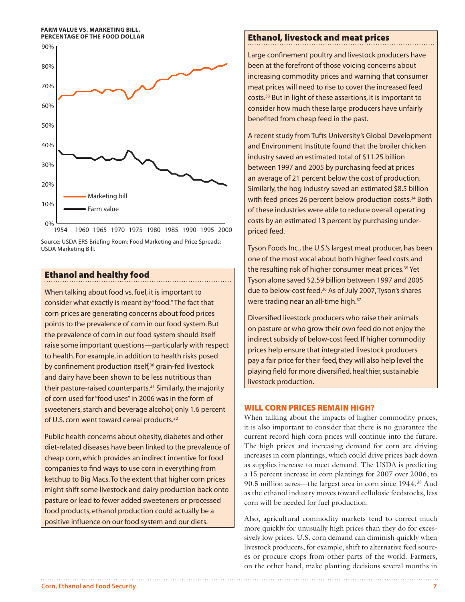#### **Farm Value vs. Marketing Bill, Percentage of the Food Dollar**



Source: USDA ERS Briefing Room: Food Marketing and Price Spreads: USDA Marketing Bill.

# Ethanol and healthy food

When talking about food vs. fuel, it is important to consider what exactly is meant by "food." The fact that corn prices are generating concerns about food prices points to the prevalence of corn in our food system. But the prevalence of corn in our food system should itself raise some important questions—particularly with respect to health. For example, in addition to health risks posed by confinement production itself,<sup>30</sup> grain-fed livestock and dairy have been shown to be less nutritious than their pasture-raised counterparts.<sup>31</sup> Similarly, the majority of corn used for "food uses" in 2006 was in the form of sweeteners, starch and beverage alcohol; only 1.6 percent of U.S. corn went toward cereal products.<sup>32</sup>

Public health concerns about obesity, diabetes and other diet-related diseases have been linked to the prevalence of cheap corn, which provides an indirect incentive for food companies to find ways to use corn in everything from ketchup to Big Macs. To the extent that higher corn prices might shift some livestock and dairy production back onto pasture or lead to fewer added sweeteners or processed food products, ethanol production could actually be a positive influence on our food system and our diets.

# Ethanol, livestock and meat prices

Large confinement poultry and livestock producers have been at the forefront of those voicing concerns about increasing commodity prices and warning that consumer meat prices will need to rise to cover the increased feed costs.33 But in light of these assertions, it is important to consider how much these large producers have unfairly benefited from cheap feed in the past.

A recent study from Tufts University's Global Development and Environment Institute found that the broiler chicken industry saved an estimated total of \$11.25 billion between 1997 and 2005 by purchasing feed at prices an average of 21 percent below the cost of production. Similarly, the hog industry saved an estimated \$8.5 billion with feed prices 26 percent below production costs.<sup>34</sup> Both of these industries were able to reduce overall operating costs by an estimated 13 percent by purchasing underpriced feed.

Tyson Foods Inc., the U.S.'s largest meat producer, has been one of the most vocal about both higher feed costs and the resulting risk of higher consumer meat prices.<sup>35</sup> Yet Tyson alone saved \$2.59 billion between 1997 and 2005 due to below-cost feed.<sup>36</sup> As of July 2007, Tyson's shares were trading near an all-time high.<sup>37</sup>

Diversified livestock producers who raise their animals on pasture or who grow their own feed do not enjoy the indirect subsidy of below-cost feed. If higher commodity prices help ensure that integrated livestock producers pay a fair price for their feed, they will also help level the playing field for more diversified, healthier, sustainable livestock production.

#### Will Corn Prices Remain High?

When talking about the impacts of higher commodity prices, it is also important to consider that there is no guarantee the current record-high corn prices will continue into the future. The high prices and increasing demand for corn are driving increases in corn plantings, which could drive prices back down as supplies increase to meet demand. The USDA is predicting a 15 percent increase in corn plantings for 2007 over 2006, to 90.5 million acres—the largest area in corn since 1944.38 And as the ethanol industry moves toward cellulosic feedstocks, less corn will be needed for fuel production.

Also, agricultural commodity markets tend to correct much more quickly for unusually high prices than they do for excessively low prices. U.S. corn demand can diminish quickly when livestock producers, for example, shift to alternative feed sources or procure crops from other parts of the world. Farmers, on the other hand, make planting decisions several months in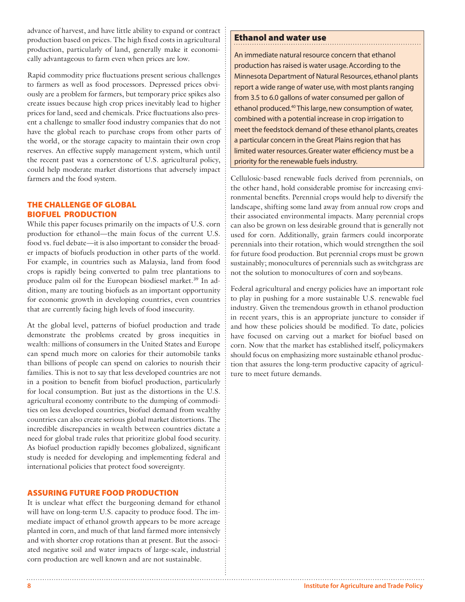advance of harvest, and have little ability to expand or contract production based on prices. The high fixed costs in agricultural production, particularly of land, generally make it economically advantageous to farm even when prices are low.

Rapid commodity price fluctuations present serious challenges to farmers as well as food processors. Depressed prices obviously are a problem for farmers, but temporary price spikes also create issues because high crop prices inevitably lead to higher prices for land, seed and chemicals. Price fluctuations also present a challenge to smaller food industry companies that do not have the global reach to purchase crops from other parts of the world, or the storage capacity to maintain their own crop reserves. An effective supply management system, which until the recent past was a cornerstone of U.S. agricultural policy, could help moderate market distortions that adversely impact farmers and the food system.

## The Challenge of Global Biofuel Production

While this paper focuses primarily on the impacts of U.S. corn production for ethanol—the main focus of the current U.S. food vs. fuel debate—it is also important to consider the broader impacts of biofuels production in other parts of the world. For example, in countries such as Malaysia, land from food crops is rapidly being converted to palm tree plantations to produce palm oil for the European biodiesel market.39 In addition, many are touting biofuels as an important opportunity for economic growth in developing countries, even countries that are currently facing high levels of food insecurity.

At the global level, patterns of biofuel production and trade demonstrate the problems created by gross inequities in wealth: millions of consumers in the United States and Europe can spend much more on calories for their automobile tanks than billions of people can spend on calories to nourish their families. This is not to say that less developed countries are not in a position to benefit from biofuel production, particularly for local consumption. But just as the distortions in the U.S. agricultural economy contribute to the dumping of commodities on less developed countries, biofuel demand from wealthy countries can also create serious global market distortions. The incredible discrepancies in wealth between countries dictate a need for global trade rules that prioritize global food security. As biofuel production rapidly becomes globalized, significant study is needed for developing and implementing federal and international policies that protect food sovereignty.

# Assuring Future Food Production

It is unclear what effect the burgeoning demand for ethanol will have on long-term U.S. capacity to produce food. The immediate impact of ethanol growth appears to be more acreage planted in corn, and much of that land farmed more intensively and with shorter crop rotations than at present. But the associated negative soil and water impacts of large-scale, industrial corn production are well known and are not sustainable.

# Ethanol and water use

An immediate natural resource concern that ethanol production has raised is water usage. According to the Minnesota Department of Natural Resources, ethanol plants report a wide range of water use, with most plants ranging from 3.5 to 6.0 gallons of water consumed per gallon of ethanol produced.40 This large, new consumption of water, combined with a potential increase in crop irrigation to meet the feedstock demand of these ethanol plants, creates a particular concern in the Great Plains region that has limited water resources. Greater water efficiency must be a priority for the renewable fuels industry.

Cellulosic-based renewable fuels derived from perennials, on the other hand, hold considerable promise for increasing environmental benefits. Perennial crops would help to diversify the landscape, shifting some land away from annual row crops and their associated environmental impacts. Many perennial crops can also be grown on less desirable ground that is generally not used for corn. Additionally, grain farmers could incorporate perennials into their rotation, which would strengthen the soil for future food production. But perennial crops must be grown sustainably; monocultures of perennials such as switchgrass are not the solution to monocultures of corn and soybeans.

Federal agricultural and energy policies have an important role to play in pushing for a more sustainable U.S. renewable fuel industry. Given the tremendous growth in ethanol production in recent years, this is an appropriate juncture to consider if and how these policies should be modified. To date, policies have focused on carving out a market for biofuel based on corn. Now that the market has established itself, policymakers should focus on emphasizing more sustainable ethanol production that assures the long-term productive capacity of agriculture to meet future demands.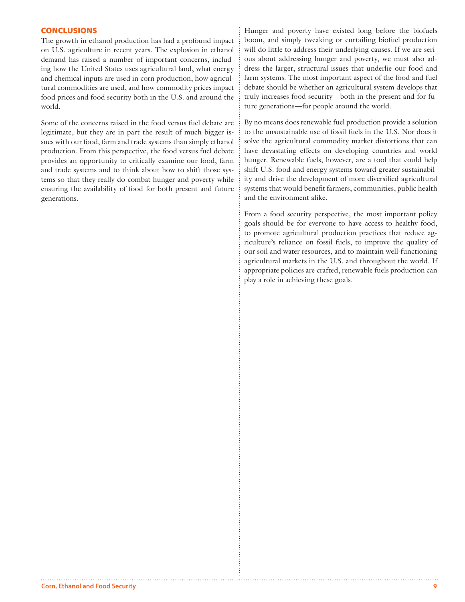#### **CONCLUSIONS**

The growth in ethanol production has had a profound impact on U.S. agriculture in recent years. The explosion in ethanol demand has raised a number of important concerns, including how the United States uses agricultural land, what energy and chemical inputs are used in corn production, how agricultural commodities are used, and how commodity prices impact food prices and food security both in the U.S. and around the world.

Some of the concerns raised in the food versus fuel debate are legitimate, but they are in part the result of much bigger issues with our food, farm and trade systems than simply ethanol production. From this perspective, the food versus fuel debate provides an opportunity to critically examine our food, farm and trade systems and to think about how to shift those systems so that they really do combat hunger and poverty while ensuring the availability of food for both present and future generations.

Hunger and poverty have existed long before the biofuels boom, and simply tweaking or curtailing biofuel production will do little to address their underlying causes. If we are serious about addressing hunger and poverty, we must also address the larger, structural issues that underlie our food and farm systems. The most important aspect of the food and fuel debate should be whether an agricultural system develops that truly increases food security—both in the present and for future generations—for people around the world.

By no means does renewable fuel production provide a solution to the unsustainable use of fossil fuels in the U.S. Nor does it solve the agricultural commodity market distortions that can have devastating effects on developing countries and world hunger. Renewable fuels, however, are a tool that could help shift U.S. food and energy systems toward greater sustainability and drive the development of more diversified agricultural systems that would benefit farmers, communities, public health and the environment alike.

From a food security perspective, the most important policy goals should be for everyone to have access to healthy food, to promote agricultural production practices that reduce agriculture's reliance on fossil fuels, to improve the quality of our soil and water resources, and to maintain well-functioning agricultural markets in the U.S. and throughout the world. If appropriate policies are crafted, renewable fuels production can play a role in achieving these goals.